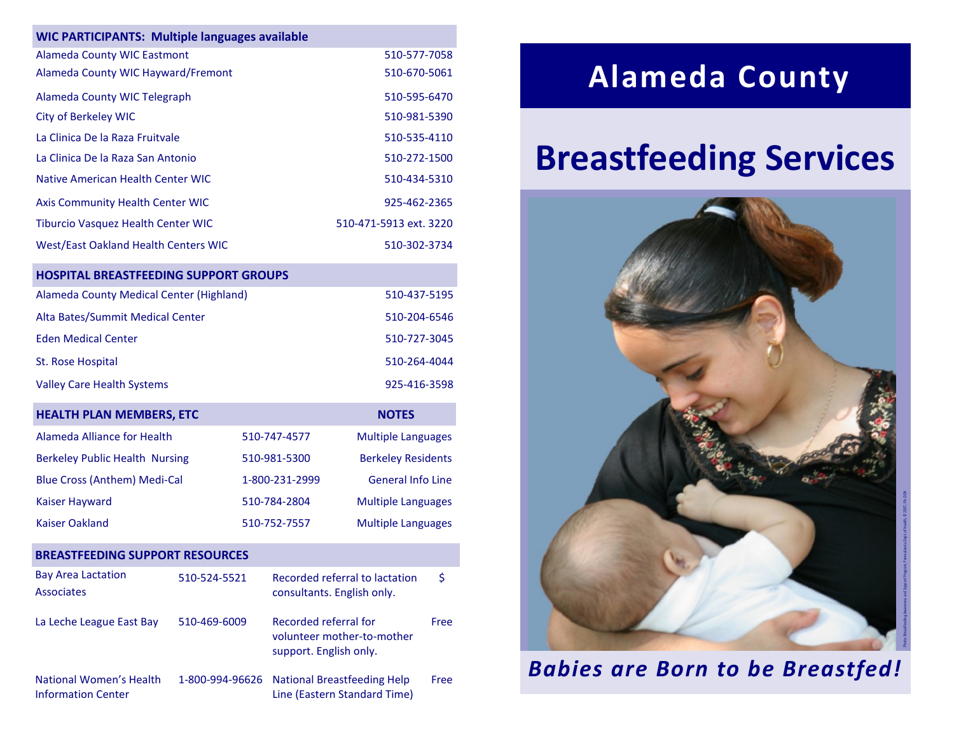| <b>WIC PARTICIPANTS: Multiple languages available</b> |              |                           |
|-------------------------------------------------------|--------------|---------------------------|
| <b>Alameda County WIC Eastmont</b>                    |              | 510-577-7058              |
| Alameda County WIC Hayward/Fremont                    |              | 510-670-5061              |
| Alameda County WIC Telegraph                          |              | 510-595-6470              |
| <b>City of Berkeley WIC</b>                           |              | 510-981-5390              |
| La Clinica De la Raza Fruitvale                       |              | 510-535-4110              |
| La Clinica De la Raza San Antonio                     |              | 510-272-1500              |
| Native American Health Center WIC                     |              | 510-434-5310              |
| <b>Axis Community Health Center WIC</b>               |              | 925-462-2365              |
| Tiburcio Vasquez Health Center WIC                    |              | 510-471-5913 ext. 3220    |
| <b>West/East Oakland Health Centers WIC</b>           |              | 510-302-3734              |
| <b>HOSPITAL BREASTFEEDING SUPPORT GROUPS</b>          |              |                           |
| Alameda County Medical Center (Highland)              |              | 510-437-5195              |
| Alta Bates/Summit Medical Center                      |              | 510-204-6546              |
| <b>Eden Medical Center</b>                            |              | 510-727-3045              |
| St. Rose Hospital                                     |              | 510-264-4044              |
| <b>Valley Care Health Systems</b>                     |              | 925-416-3598              |
| <b>HEALTH PLAN MEMBERS, ETC</b>                       |              | <b>NOTES</b>              |
| Alameda Alliance for Health                           | 510-747-4577 | <b>Multiple Languages</b> |

| Aldrieud Alliance IVI Health          | <u>JIU-747-4J77</u> | <b>IVIUILIPIE LATIRUARES</b> |
|---------------------------------------|---------------------|------------------------------|
| <b>Berkeley Public Health Nursing</b> | 510-981-5300        | <b>Berkeley Residents</b>    |
| <b>Blue Cross (Anthem) Medi-Cal</b>   | 1-800-231-2999      | <b>General Info Line</b>     |
| <b>Kaiser Hayward</b>                 | 510-784-2804        | <b>Multiple Languages</b>    |
| Kaiser Oakland                        | 510-752-7557        | <b>Multiple Languages</b>    |

#### **BREASTFEEDING SUPPORT RESOURCES**

| <b>Bay Area Lactation</b><br><b>Associates</b>       | 510-524-5521 | Recorded referral to lactation<br>consultants. English only.                  | \$   |
|------------------------------------------------------|--------------|-------------------------------------------------------------------------------|------|
| La Leche League East Bay                             | 510-469-6009 | Recorded referral for<br>volunteer mother-to-mother<br>support. English only. | Free |
| National Women's Health<br><b>Information Center</b> |              | 1-800-994-96626 National Breastfeeding Help<br>Line (Eastern Standard Time)   | Free |

## **Alameda County**

# **Breastfeeding Services**